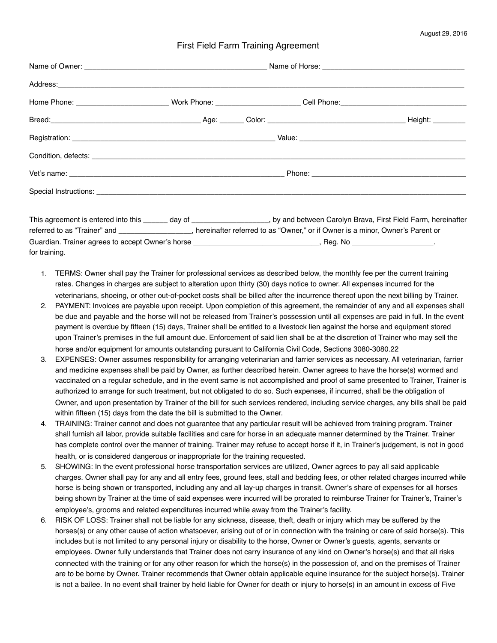## First Field Farm Training Agreement

| referred to as "Trainer" and _________________, hereinafter referred to as "Owner," or if Owner is a minor, Owner's Parent or |  |                                                                                                                   | This agreement is entered into this ______ day of ___________________, by and between Carolyn Brava, First Field Farm, hereinafter |  |
|-------------------------------------------------------------------------------------------------------------------------------|--|-------------------------------------------------------------------------------------------------------------------|------------------------------------------------------------------------------------------------------------------------------------|--|
|                                                                                                                               |  | Guardian. Trainer agrees to accept Owner's horse ________________________________, Reg. No _____________________. |                                                                                                                                    |  |

for training.

- 1. TERMS: Owner shall pay the Trainer for professional services as described below, the monthly fee per the current training rates. Changes in charges are subject to alteration upon thirty (30) days notice to owner. All expenses incurred for the veterinarians, shoeing, or other out-of-pocket costs shall be billed after the incurrence thereof upon the next billing by Trainer.
- 2. PAYMENT: Invoices are payable upon receipt. Upon completion of this agreement, the remainder of any and all expenses shall be due and payable and the horse will not be released from Trainer's possession until all expenses are paid in full. In the event payment is overdue by fifteen (15) days, Trainer shall be entitled to a livestock lien against the horse and equipment stored upon Trainer's premises in the full amount due. Enforcement of said lien shall be at the discretion of Trainer who may sell the horse and/or equipment for amounts outstanding pursuant to California Civil Code, Sections 3080-3080.22
- 3. EXPENSES: Owner assumes responsibility for arranging veterinarian and farrier services as necessary. All veterinarian, farrier and medicine expenses shall be paid by Owner, as further described herein. Owner agrees to have the horse(s) wormed and vaccinated on a regular schedule, and in the event same is not accomplished and proof of same presented to Trainer, Trainer is authorized to arrange for such treatment, but not obligated to do so. Such expenses, if incurred, shall be the obligation of Owner, and upon presentation by Trainer of the bill for such services rendered, including service charges, any bills shall be paid within fifteen (15) days from the date the bill is submitted to the Owner.
- 4. TRAINING: Trainer cannot and does not guarantee that any particular result will be achieved from training program. Trainer shall furnish all labor, provide suitable facilities and care for horse in an adequate manner determined by the Trainer. Trainer has complete control over the manner of training. Trainer may refuse to accept horse if it, in Trainer's judgement, is not in good health, or is considered dangerous or inappropriate for the training requested.
- 5. SHOWING: In the event professional horse transportation services are utilized, Owner agrees to pay all said applicable charges. Owner shall pay for any and all entry fees, ground fees, stall and bedding fees, or other related charges incurred while horse is being shown or transported, including any and all lay-up charges in transit. Owner's share of expenses for all horses being shown by Trainer at the time of said expenses were incurred will be prorated to reimburse Trainer for Trainer's, Trainer's employee's, grooms and related expenditures incurred while away from the Trainer's facility.
- 6. RISK OF LOSS: Trainer shall not be liable for any sickness, disease, theft, death or injury which may be suffered by the horses(s) or any other cause of action whatsoever, arising out of or in connection with the training or care of said horse(s). This includes but is not limited to any personal injury or disability to the horse, Owner or Owner's guests, agents, servants or employees. Owner fully understands that Trainer does not carry insurance of any kind on Owner's horse(s) and that all risks connected with the training or for any other reason for which the horse(s) in the possession of, and on the premises of Trainer are to be borne by Owner. Trainer recommends that Owner obtain applicable equine insurance for the subject horse(s). Trainer is not a bailee. In no event shall trainer by held liable for Owner for death or injury to horse(s) in an amount in excess of Five